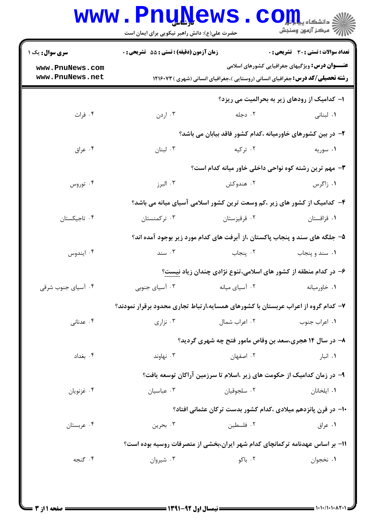| <b>سری سوال :</b> یک ۱<br><b>زمان آزمون (دقیقه) : تستی : 55 تشریحی : 0</b><br><b>تعداد سوالات : تستی : 30 ٪ تشریحی : 0</b><br><b>عنـــوان درس:</b> ویژگیهای جغرافیایی کشورهای اسلامی<br>www.PnuNews.com<br>www.PnuNews.net<br><b>رشته تحصیلی/کد درس:</b> جغرافیای انسانی (روستایی )،جغرافیای انسانی (شهری ) ۱۲۱۶۰۷۳<br>ا- کدامیک از رودهای زیر به بحرالمیت می ریزد؟<br>۰۴ فرات<br>۰۲ دجله<br>۰۳ اردن<br><b>۱</b> . لبنانی<br>۲– در بین کشورهای خاورمیانه ،کدام کشور فاقد بیابان می باشد؟<br>۰۴ عراق<br>۰۳ لبنان<br>۰۲ ترکیه<br>۰۱ سوریه<br>۰۳ مهم ترین رشته کوه نواحی داخلی خاور میانه کدام است؟<br>۰۴ توروس<br>۰۳ البرز<br>۰۲ هندوکش<br>۰۱ زاگرس<br>۴– کدامیک از کشور های زیر ،کم وسعت ترین کشور اسلامی آسیای میانه می باشد؟<br>۰۴ تاجیکستان<br>۰۳ ترکمنستان<br>۰۲ قرقیزستان<br>٠١ قزاقستان<br>۵– جلگه های سند و پنجاب پاکستان ،از آبرفت های کدام مورد زیر بوجود آمده اند؟<br>۰۴ ايندوس<br>۰۳ سند<br>۰۲ پنجاب<br>۰۱ سند و پنجاب<br>۶– در کدام منطقه از کشور های اسلامی،تنوع نژادی چندان زیاد نیست؟<br>۰۴ آسیای جنوب شرقی<br>۰۳ آسیای جنوبی<br>۰۲ آسیای میانه<br>۰۱ خاورمیانه<br>۷– کدام گروه از اعراب عربستان با کشورهای همسایه،ارتباط تجاری محدود برقرار نمودند؟<br>۰۴ عدنانی<br>نزاری $\cdot$ ۳<br>۰۲ اعراب شمال<br>۰۱ اعراب جنوب<br>۸– در سال ۱۴ هجری،سعد بن وقاص مامور فتح چه شهری گردید؟<br>۰۴ بغداد<br>نهاوند $\cdot$ ۳ $\cdot$<br>۰۲ اصفهان<br>۰۱ انبار<br>۹– در زمان کدامیک از حکومت های زیر ،اسلام تا سرزمین آراکان توسعه یافت؟<br>۰۳ عباسیان<br>۰۲ سلجوقيان<br>۰۴ غزنويان<br>٠١. ايلخانان<br>∙۱− در قرن پانزدهم میلادی ،کدام کشور بدست ترکان عثمانی افتاد؟<br>۰۳ بحرين<br>۰۲ فلسطین<br>۰۴ عربستان<br>۰۱ عراق<br>1۱- بر اساس عهدنامه ترکمانچای کدام شهر ایران،بخشی از متصرفات روسیه بوده است؟<br>۰۴ گنجه<br>۰۳ شیروان<br>۰۲ باکو<br>۰۱ نخجوان | www.PnuNews<br>حضرت علی(ع): دانش راهبر نیکویی برای ایمان است |  | $\mathbf{C}\mathbf{O}\mathbf{m}$<br>أأزاله مركز آزمون وسنجش |  |
|---------------------------------------------------------------------------------------------------------------------------------------------------------------------------------------------------------------------------------------------------------------------------------------------------------------------------------------------------------------------------------------------------------------------------------------------------------------------------------------------------------------------------------------------------------------------------------------------------------------------------------------------------------------------------------------------------------------------------------------------------------------------------------------------------------------------------------------------------------------------------------------------------------------------------------------------------------------------------------------------------------------------------------------------------------------------------------------------------------------------------------------------------------------------------------------------------------------------------------------------------------------------------------------------------------------------------------------------------------------------------------------------------------------------------------------------------------------------------------------------------------------------------------------------------------------------------------------------------------------------------------------------------------------------------------------------------------------------------------------------------------|--------------------------------------------------------------|--|-------------------------------------------------------------|--|
|                                                                                                                                                                                                                                                                                                                                                                                                                                                                                                                                                                                                                                                                                                                                                                                                                                                                                                                                                                                                                                                                                                                                                                                                                                                                                                                                                                                                                                                                                                                                                                                                                                                                                                                                                         |                                                              |  |                                                             |  |
|                                                                                                                                                                                                                                                                                                                                                                                                                                                                                                                                                                                                                                                                                                                                                                                                                                                                                                                                                                                                                                                                                                                                                                                                                                                                                                                                                                                                                                                                                                                                                                                                                                                                                                                                                         |                                                              |  |                                                             |  |
|                                                                                                                                                                                                                                                                                                                                                                                                                                                                                                                                                                                                                                                                                                                                                                                                                                                                                                                                                                                                                                                                                                                                                                                                                                                                                                                                                                                                                                                                                                                                                                                                                                                                                                                                                         |                                                              |  |                                                             |  |
|                                                                                                                                                                                                                                                                                                                                                                                                                                                                                                                                                                                                                                                                                                                                                                                                                                                                                                                                                                                                                                                                                                                                                                                                                                                                                                                                                                                                                                                                                                                                                                                                                                                                                                                                                         |                                                              |  |                                                             |  |
|                                                                                                                                                                                                                                                                                                                                                                                                                                                                                                                                                                                                                                                                                                                                                                                                                                                                                                                                                                                                                                                                                                                                                                                                                                                                                                                                                                                                                                                                                                                                                                                                                                                                                                                                                         |                                                              |  |                                                             |  |
|                                                                                                                                                                                                                                                                                                                                                                                                                                                                                                                                                                                                                                                                                                                                                                                                                                                                                                                                                                                                                                                                                                                                                                                                                                                                                                                                                                                                                                                                                                                                                                                                                                                                                                                                                         |                                                              |  |                                                             |  |
|                                                                                                                                                                                                                                                                                                                                                                                                                                                                                                                                                                                                                                                                                                                                                                                                                                                                                                                                                                                                                                                                                                                                                                                                                                                                                                                                                                                                                                                                                                                                                                                                                                                                                                                                                         |                                                              |  |                                                             |  |
|                                                                                                                                                                                                                                                                                                                                                                                                                                                                                                                                                                                                                                                                                                                                                                                                                                                                                                                                                                                                                                                                                                                                                                                                                                                                                                                                                                                                                                                                                                                                                                                                                                                                                                                                                         |                                                              |  |                                                             |  |
|                                                                                                                                                                                                                                                                                                                                                                                                                                                                                                                                                                                                                                                                                                                                                                                                                                                                                                                                                                                                                                                                                                                                                                                                                                                                                                                                                                                                                                                                                                                                                                                                                                                                                                                                                         |                                                              |  |                                                             |  |
|                                                                                                                                                                                                                                                                                                                                                                                                                                                                                                                                                                                                                                                                                                                                                                                                                                                                                                                                                                                                                                                                                                                                                                                                                                                                                                                                                                                                                                                                                                                                                                                                                                                                                                                                                         |                                                              |  |                                                             |  |
|                                                                                                                                                                                                                                                                                                                                                                                                                                                                                                                                                                                                                                                                                                                                                                                                                                                                                                                                                                                                                                                                                                                                                                                                                                                                                                                                                                                                                                                                                                                                                                                                                                                                                                                                                         |                                                              |  |                                                             |  |
|                                                                                                                                                                                                                                                                                                                                                                                                                                                                                                                                                                                                                                                                                                                                                                                                                                                                                                                                                                                                                                                                                                                                                                                                                                                                                                                                                                                                                                                                                                                                                                                                                                                                                                                                                         |                                                              |  |                                                             |  |
|                                                                                                                                                                                                                                                                                                                                                                                                                                                                                                                                                                                                                                                                                                                                                                                                                                                                                                                                                                                                                                                                                                                                                                                                                                                                                                                                                                                                                                                                                                                                                                                                                                                                                                                                                         |                                                              |  |                                                             |  |
|                                                                                                                                                                                                                                                                                                                                                                                                                                                                                                                                                                                                                                                                                                                                                                                                                                                                                                                                                                                                                                                                                                                                                                                                                                                                                                                                                                                                                                                                                                                                                                                                                                                                                                                                                         |                                                              |  |                                                             |  |
|                                                                                                                                                                                                                                                                                                                                                                                                                                                                                                                                                                                                                                                                                                                                                                                                                                                                                                                                                                                                                                                                                                                                                                                                                                                                                                                                                                                                                                                                                                                                                                                                                                                                                                                                                         |                                                              |  |                                                             |  |
|                                                                                                                                                                                                                                                                                                                                                                                                                                                                                                                                                                                                                                                                                                                                                                                                                                                                                                                                                                                                                                                                                                                                                                                                                                                                                                                                                                                                                                                                                                                                                                                                                                                                                                                                                         |                                                              |  |                                                             |  |
|                                                                                                                                                                                                                                                                                                                                                                                                                                                                                                                                                                                                                                                                                                                                                                                                                                                                                                                                                                                                                                                                                                                                                                                                                                                                                                                                                                                                                                                                                                                                                                                                                                                                                                                                                         |                                                              |  |                                                             |  |
|                                                                                                                                                                                                                                                                                                                                                                                                                                                                                                                                                                                                                                                                                                                                                                                                                                                                                                                                                                                                                                                                                                                                                                                                                                                                                                                                                                                                                                                                                                                                                                                                                                                                                                                                                         |                                                              |  |                                                             |  |
|                                                                                                                                                                                                                                                                                                                                                                                                                                                                                                                                                                                                                                                                                                                                                                                                                                                                                                                                                                                                                                                                                                                                                                                                                                                                                                                                                                                                                                                                                                                                                                                                                                                                                                                                                         |                                                              |  |                                                             |  |
|                                                                                                                                                                                                                                                                                                                                                                                                                                                                                                                                                                                                                                                                                                                                                                                                                                                                                                                                                                                                                                                                                                                                                                                                                                                                                                                                                                                                                                                                                                                                                                                                                                                                                                                                                         |                                                              |  |                                                             |  |
|                                                                                                                                                                                                                                                                                                                                                                                                                                                                                                                                                                                                                                                                                                                                                                                                                                                                                                                                                                                                                                                                                                                                                                                                                                                                                                                                                                                                                                                                                                                                                                                                                                                                                                                                                         |                                                              |  |                                                             |  |
|                                                                                                                                                                                                                                                                                                                                                                                                                                                                                                                                                                                                                                                                                                                                                                                                                                                                                                                                                                                                                                                                                                                                                                                                                                                                                                                                                                                                                                                                                                                                                                                                                                                                                                                                                         |                                                              |  |                                                             |  |
|                                                                                                                                                                                                                                                                                                                                                                                                                                                                                                                                                                                                                                                                                                                                                                                                                                                                                                                                                                                                                                                                                                                                                                                                                                                                                                                                                                                                                                                                                                                                                                                                                                                                                                                                                         |                                                              |  |                                                             |  |
|                                                                                                                                                                                                                                                                                                                                                                                                                                                                                                                                                                                                                                                                                                                                                                                                                                                                                                                                                                                                                                                                                                                                                                                                                                                                                                                                                                                                                                                                                                                                                                                                                                                                                                                                                         |                                                              |  |                                                             |  |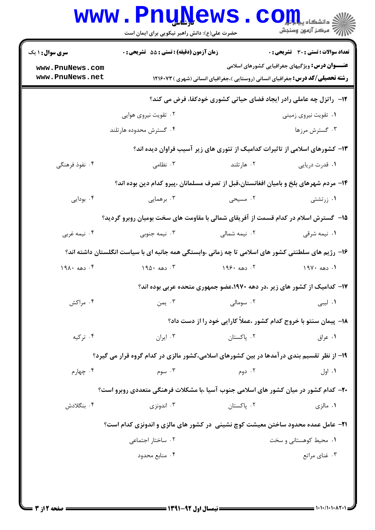|                                                                                           | <b>www.PnuNews</b>                                                                                 |               | ي دانشڪاه پ <b>يا يا پار</b><br>رآ - مرڪز آزمون وسنڊش                                                                                          |  |  |
|-------------------------------------------------------------------------------------------|----------------------------------------------------------------------------------------------------|---------------|------------------------------------------------------------------------------------------------------------------------------------------------|--|--|
| <b>سری سوال : ۱ یک</b>                                                                    | حضرت علی(ع): دانش راهبر نیکویی برای ایمان است<br><b>زمان آزمون (دقیقه) : تستی : 55 تشریحی : 0</b>  |               | <b>تعداد سوالات : تستی : 30 ٪ تشریحی : 0</b>                                                                                                   |  |  |
| www.PnuNews.com<br>www.PnuNews.net                                                        |                                                                                                    |               | <b>عنـــوان درس:</b> ویژگیهای جغرافیایی کشورهای اسلامی<br><b>رشته تحصیلی/کد درس:</b> جغرافیای انسانی (روستایی )،جغرافیای انسانی (شهری )۱۲۱۶۰۷۳ |  |  |
|                                                                                           |                                                                                                    |               | ۱۲- راتزل چه عاملی رادر ایجاد فضای حیاتی کشوری خودکفا، فرض می کند؟                                                                             |  |  |
|                                                                                           | ۰۲ تقویت نیروی هوایی                                                                               |               | ۰۱ تقویت نیروی زمینی                                                                                                                           |  |  |
|                                                                                           | ۰۴ گسترش محدوده هارتلند                                                                            |               | ۰۳ گسترش مرزها                                                                                                                                 |  |  |
|                                                                                           |                                                                                                    |               | ۱۳- کشورهای اسلامی از تاثیرات کدامیک از تئوری های زیر آسیب فراوان دیده اند؟                                                                    |  |  |
| ۰۴ نفوذ فرهنگی                                                                            | ۰۳ نظامی                                                                                           | ۰۲ هارتلند    | ٠١ قدرت دريايي                                                                                                                                 |  |  |
|                                                                                           | ۱۴- مردم شهرهای بلخ و بامیان افغانستان،قبل از تصرف مسلمانان ،پیرو کدام دین بوده اند؟               |               |                                                                                                                                                |  |  |
| ۰۴ بودایی                                                                                 | ۰۳ برهمایی                                                                                         | ۰۲ مسیحی      | ۰۱ زرتشتی                                                                                                                                      |  |  |
|                                                                                           | ۱۵– گسترش اسلام در کدام قسمت از آفریقای شمالی با مقاومت های سخت بومیان روبرو گردید؟                |               |                                                                                                                                                |  |  |
| ۰۴ نیمه غربی                                                                              | ۰۳ نیمه جنوبی                                                                                      | ۰۲ نیمه شمالی | ۰۱ نیمه شرقی                                                                                                                                   |  |  |
|                                                                                           | ۱۶– رژیم های سلطنتی کشور های اسلامی تا چه زمانی ،وابستگی همه جانبه ای با سیاست انگلستان داشته اند؟ |               |                                                                                                                                                |  |  |
| ۰۴ دهه ۱۹۸۰                                                                               | ۰۳ دهه ۱۹۵۰                                                                                        | ۲. دهه ۱۹۶۰   | ۰۱ دهه ۱۹۷۰                                                                                                                                    |  |  |
|                                                                                           |                                                                                                    |               | ۱۷– کدامیک از کشور های زیر ،در دهه ۱۹۷۰،عضو جمهوری متحده عربی بوده اند؟                                                                        |  |  |
| ۰۴ مراکش                                                                                  | ۰۳ يمن                                                                                             | ۰۲ سومالی     | ١. ليبي                                                                                                                                        |  |  |
|                                                                                           |                                                                                                    |               | ۱۸- پیمان سنتو با خروج کدام کشور ،عملاً کارایی خود را از دست داد؟                                                                              |  |  |
| ۰۴ ترکیه                                                                                  | ۰۳ ایران                                                                                           | ۰۲ پاکستان    | ۰۱ عراق                                                                                                                                        |  |  |
| ۱۹- از نظر تقسیم بندی درآمدها در بین کشورهای اسلامی،کشور مالزی در کدام گروه قرار می گیرد؟ |                                                                                                    |               |                                                                                                                                                |  |  |
| ۰۴ چهارم                                                                                  | ۰۳ سوم                                                                                             | ۰۲ دوم        | ۰۱ اول                                                                                                                                         |  |  |
| ۲۰- کدام کشور در میان کشور های اسلامی جنوب آسیا ،با مشکلات فرهنگی متعددی روبرو است؟       |                                                                                                    |               |                                                                                                                                                |  |  |
| ۰۴ بنگلادش                                                                                | ۰۳ اندونزی                                                                                         | ۰۲ پاکستان    | ۰۱ مالزی                                                                                                                                       |  |  |
| ۲۱- عامل عمده محدود ساختن معیشت کوچ نشینی ًدر کشور های مالزی و اندونزی کدام است؟          |                                                                                                    |               |                                                                                                                                                |  |  |
|                                                                                           | ۰۲ ساختار اجتماعی                                                                                  |               | ۰۱ محیط کوهستانی و سخت                                                                                                                         |  |  |
|                                                                                           | ۰۴ منابع محدود                                                                                     |               | ۰۳ غنای مراتع                                                                                                                                  |  |  |